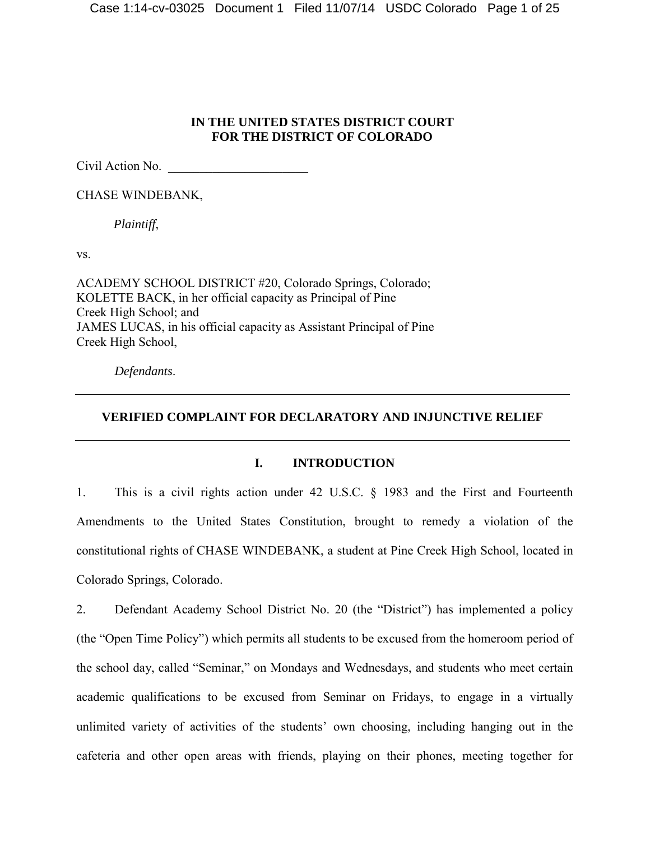# **IN THE UNITED STATES DISTRICT COURT FOR THE DISTRICT OF COLORADO**

Civil Action No. \_\_\_\_\_\_\_\_\_\_\_\_\_\_\_\_\_\_\_\_\_\_

CHASE WINDEBANK,

*Plaintiff*,

vs.

ACADEMY SCHOOL DISTRICT #20, Colorado Springs, Colorado; KOLETTE BACK, in her official capacity as Principal of Pine Creek High School; and JAMES LUCAS, in his official capacity as Assistant Principal of Pine Creek High School,

*Defendants*.

# **VERIFIED COMPLAINT FOR DECLARATORY AND INJUNCTIVE RELIEF**

# **I. INTRODUCTION**

1. This is a civil rights action under 42 U.S.C. § 1983 and the First and Fourteenth Amendments to the United States Constitution, brought to remedy a violation of the constitutional rights of CHASE WINDEBANK, a student at Pine Creek High School, located in Colorado Springs, Colorado.

2. Defendant Academy School District No. 20 (the "District") has implemented a policy (the "Open Time Policy") which permits all students to be excused from the homeroom period of the school day, called "Seminar," on Mondays and Wednesdays, and students who meet certain academic qualifications to be excused from Seminar on Fridays, to engage in a virtually unlimited variety of activities of the students' own choosing, including hanging out in the cafeteria and other open areas with friends, playing on their phones, meeting together for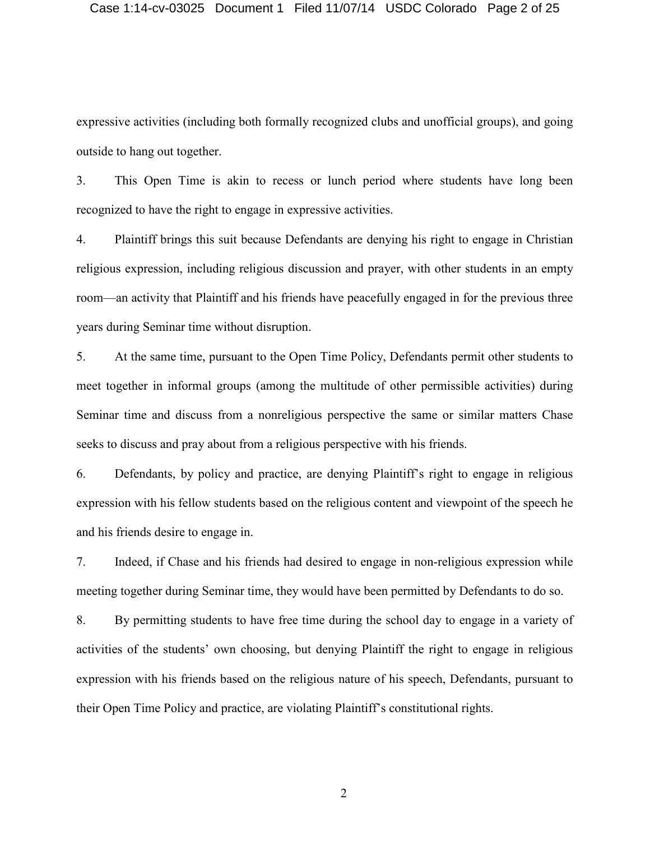#### Case 1:14-cv-03025 Document 1 Filed 11/07/14 USDC Colorado Page 2 of 25

expressive activities (including both formally recognized clubs and unofficial groups), and going outside to hang out together.

3. This Open Time is akin to recess or lunch period where students have long been recognized to have the right to engage in expressive activities.

4. Plaintiff brings this suit because Defendants are denying his right to engage in Christian religious expression, including religious discussion and prayer, with other students in an empty room—an activity that Plaintiff and his friends have peacefully engaged in for the previous three years during Seminar time without disruption.

5. At the same time, pursuant to the Open Time Policy, Defendants permit other students to meet together in informal groups (among the multitude of other permissible activities) during Seminar time and discuss from a nonreligious perspective the same or similar matters Chase seeks to discuss and pray about from a religious perspective with his friends.

6. Defendants, by policy and practice, are denying Plaintiff's right to engage in religious expression with his fellow students based on the religious content and viewpoint of the speech he and his friends desire to engage in.

7. Indeed, if Chase and his friends had desired to engage in non-religious expression while meeting together during Seminar time, they would have been permitted by Defendants to do so.

8. By permitting students to have free time during the school day to engage in a variety of activities of the students' own choosing, but denying Plaintiff the right to engage in religious expression with his friends based on the religious nature of his speech, Defendants, pursuant to their Open Time Policy and practice, are violating Plaintiff's constitutional rights.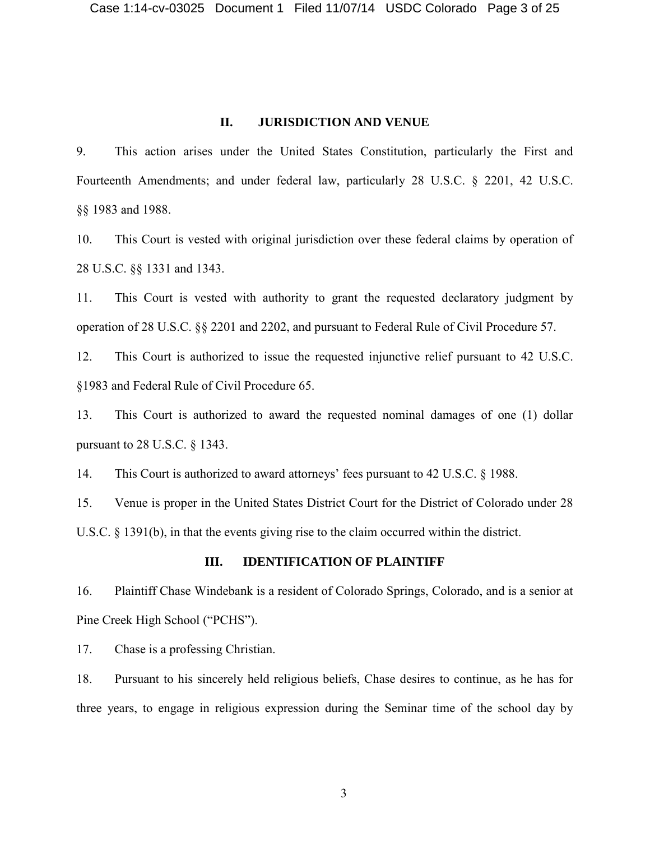#### **II. JURISDICTION AND VENUE**

9. This action arises under the United States Constitution, particularly the First and Fourteenth Amendments; and under federal law, particularly 28 U.S.C. § 2201, 42 U.S.C. §§ 1983 and 1988.

10. This Court is vested with original jurisdiction over these federal claims by operation of 28 U.S.C. §§ 1331 and 1343.

11. This Court is vested with authority to grant the requested declaratory judgment by operation of 28 U.S.C. §§ 2201 and 2202, and pursuant to Federal Rule of Civil Procedure 57.

12. This Court is authorized to issue the requested injunctive relief pursuant to 42 U.S.C. §1983 and Federal Rule of Civil Procedure 65.

13. This Court is authorized to award the requested nominal damages of one (1) dollar pursuant to 28 U.S.C. § 1343.

14. This Court is authorized to award attorneys' fees pursuant to 42 U.S.C. § 1988.

15. Venue is proper in the United States District Court for the District of Colorado under 28 U.S.C. § 1391(b), in that the events giving rise to the claim occurred within the district.

# **III. IDENTIFICATION OF PLAINTIFF**

16. Plaintiff Chase Windebank is a resident of Colorado Springs, Colorado, and is a senior at Pine Creek High School ("PCHS").

17. Chase is a professing Christian.

18. Pursuant to his sincerely held religious beliefs, Chase desires to continue, as he has for three years, to engage in religious expression during the Seminar time of the school day by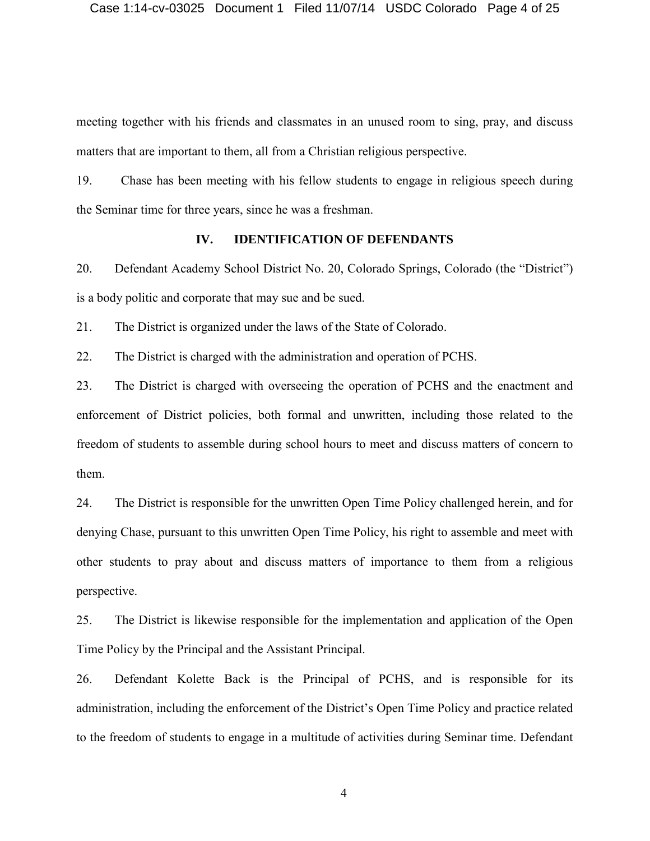meeting together with his friends and classmates in an unused room to sing, pray, and discuss matters that are important to them, all from a Christian religious perspective.

19. Chase has been meeting with his fellow students to engage in religious speech during the Seminar time for three years, since he was a freshman.

### **IV. IDENTIFICATION OF DEFENDANTS**

20. Defendant Academy School District No. 20, Colorado Springs, Colorado (the "District") is a body politic and corporate that may sue and be sued.

21. The District is organized under the laws of the State of Colorado.

22. The District is charged with the administration and operation of PCHS.

23. The District is charged with overseeing the operation of PCHS and the enactment and enforcement of District policies, both formal and unwritten, including those related to the freedom of students to assemble during school hours to meet and discuss matters of concern to them.

24. The District is responsible for the unwritten Open Time Policy challenged herein, and for denying Chase, pursuant to this unwritten Open Time Policy, his right to assemble and meet with other students to pray about and discuss matters of importance to them from a religious perspective.

25. The District is likewise responsible for the implementation and application of the Open Time Policy by the Principal and the Assistant Principal.

26. Defendant Kolette Back is the Principal of PCHS, and is responsible for its administration, including the enforcement of the District's Open Time Policy and practice related to the freedom of students to engage in a multitude of activities during Seminar time. Defendant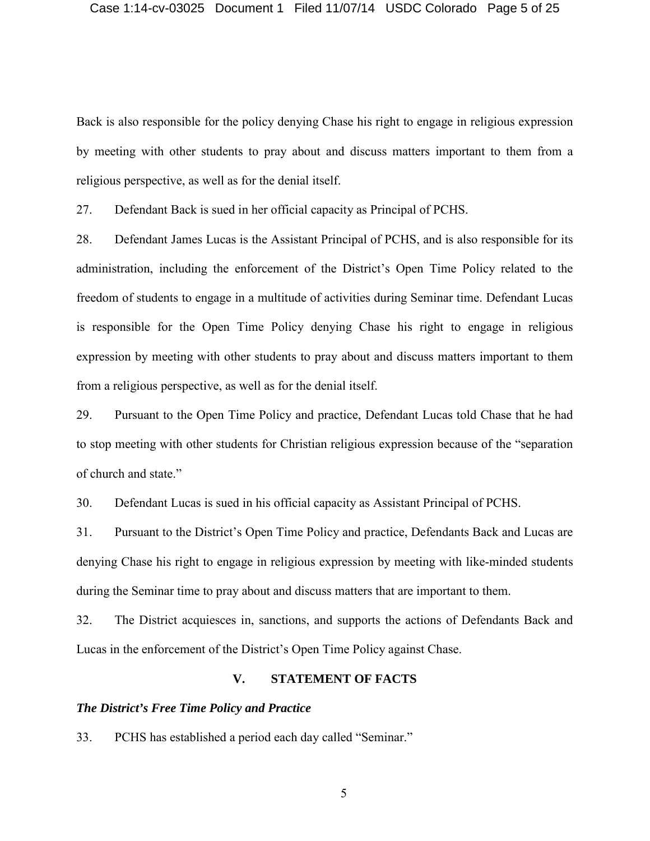Back is also responsible for the policy denying Chase his right to engage in religious expression by meeting with other students to pray about and discuss matters important to them from a religious perspective, as well as for the denial itself.

27. Defendant Back is sued in her official capacity as Principal of PCHS.

28. Defendant James Lucas is the Assistant Principal of PCHS, and is also responsible for its administration, including the enforcement of the District's Open Time Policy related to the freedom of students to engage in a multitude of activities during Seminar time. Defendant Lucas is responsible for the Open Time Policy denying Chase his right to engage in religious expression by meeting with other students to pray about and discuss matters important to them from a religious perspective, as well as for the denial itself.

29. Pursuant to the Open Time Policy and practice, Defendant Lucas told Chase that he had to stop meeting with other students for Christian religious expression because of the "separation of church and state."

30. Defendant Lucas is sued in his official capacity as Assistant Principal of PCHS.

31. Pursuant to the District's Open Time Policy and practice, Defendants Back and Lucas are denying Chase his right to engage in religious expression by meeting with like-minded students during the Seminar time to pray about and discuss matters that are important to them.

32. The District acquiesces in, sanctions, and supports the actions of Defendants Back and Lucas in the enforcement of the District's Open Time Policy against Chase.

# **V. STATEMENT OF FACTS**

### *The District's Free Time Policy and Practice*

33. PCHS has established a period each day called "Seminar."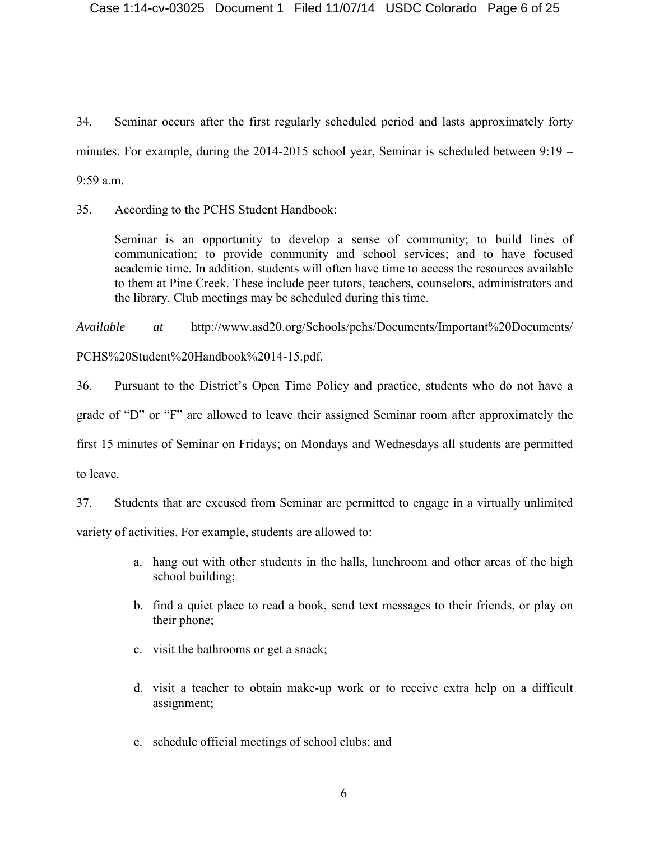34. Seminar occurs after the first regularly scheduled period and lasts approximately forty minutes. For example, during the 2014-2015 school year, Seminar is scheduled between 9:19 – 9:59 a.m.

35. According to the PCHS Student Handbook:

Seminar is an opportunity to develop a sense of community; to build lines of communication; to provide community and school services; and to have focused academic time. In addition, students will often have time to access the resources available to them at Pine Creek. These include peer tutors, teachers, counselors, administrators and the library. Club meetings may be scheduled during this time.

*Available at* http://www.asd20.org/Schools/pchs/Documents/Important%20Documents/

PCHS%20Student%20Handbook%2014-15.pdf.

36. Pursuant to the District's Open Time Policy and practice, students who do not have a grade of "D" or "F" are allowed to leave their assigned Seminar room after approximately the first 15 minutes of Seminar on Fridays; on Mondays and Wednesdays all students are permitted to leave.

37. Students that are excused from Seminar are permitted to engage in a virtually unlimited

variety of activities. For example, students are allowed to:

- a. hang out with other students in the halls, lunchroom and other areas of the high school building;
- b. find a quiet place to read a book, send text messages to their friends, or play on their phone;
- c. visit the bathrooms or get a snack;
- d. visit a teacher to obtain make-up work or to receive extra help on a difficult assignment;
- e. schedule official meetings of school clubs; and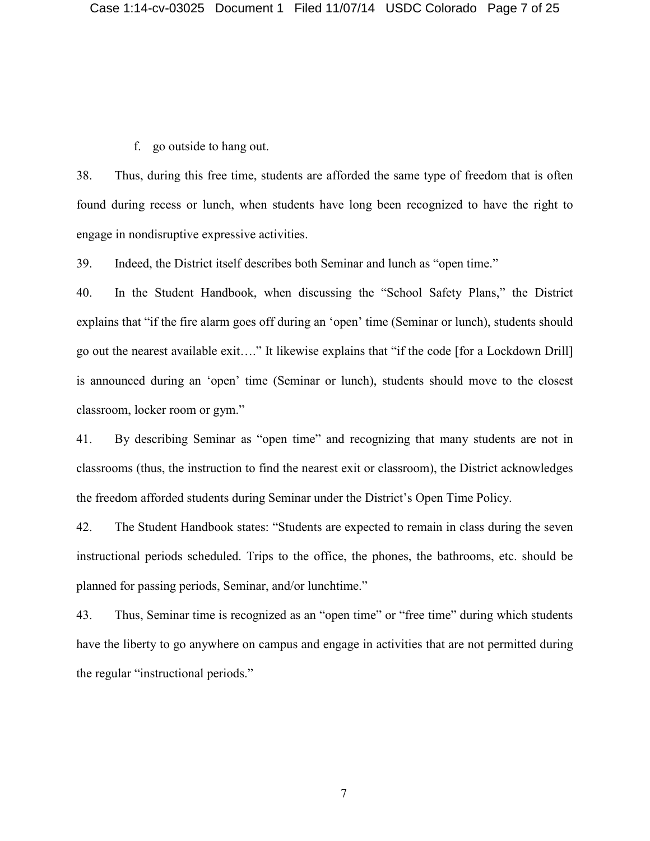f. go outside to hang out.

38. Thus, during this free time, students are afforded the same type of freedom that is often found during recess or lunch, when students have long been recognized to have the right to engage in nondisruptive expressive activities.

39. Indeed, the District itself describes both Seminar and lunch as "open time."

40. In the Student Handbook, when discussing the "School Safety Plans," the District explains that "if the fire alarm goes off during an 'open' time (Seminar or lunch), students should go out the nearest available exit…." It likewise explains that "if the code [for a Lockdown Drill] is announced during an 'open' time (Seminar or lunch), students should move to the closest classroom, locker room or gym."

41. By describing Seminar as "open time" and recognizing that many students are not in classrooms (thus, the instruction to find the nearest exit or classroom), the District acknowledges the freedom afforded students during Seminar under the District's Open Time Policy.

42. The Student Handbook states: "Students are expected to remain in class during the seven instructional periods scheduled. Trips to the office, the phones, the bathrooms, etc. should be planned for passing periods, Seminar, and/or lunchtime."

43. Thus, Seminar time is recognized as an "open time" or "free time" during which students have the liberty to go anywhere on campus and engage in activities that are not permitted during the regular "instructional periods."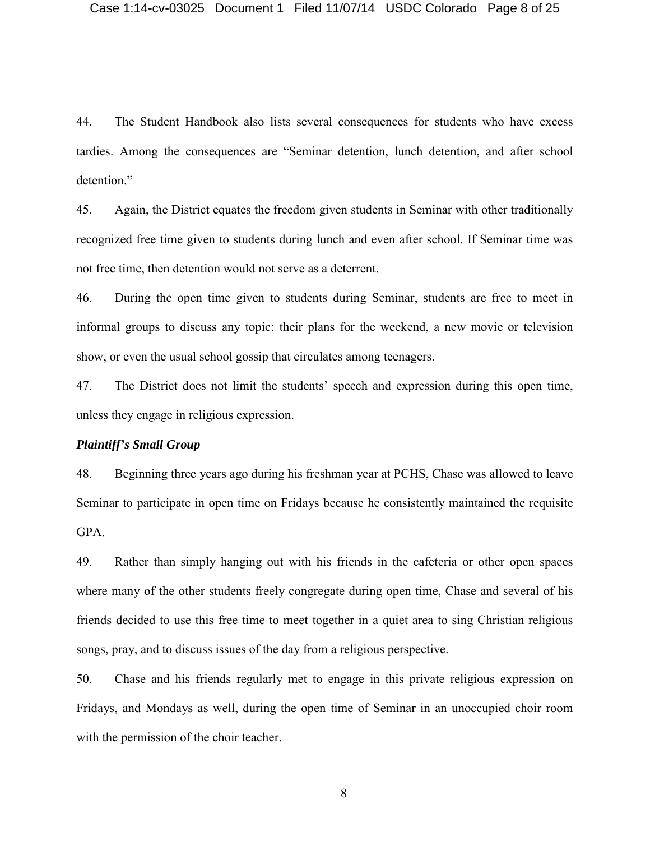44. The Student Handbook also lists several consequences for students who have excess tardies. Among the consequences are "Seminar detention, lunch detention, and after school detention."

45. Again, the District equates the freedom given students in Seminar with other traditionally recognized free time given to students during lunch and even after school. If Seminar time was not free time, then detention would not serve as a deterrent.

46. During the open time given to students during Seminar, students are free to meet in informal groups to discuss any topic: their plans for the weekend, a new movie or television show, or even the usual school gossip that circulates among teenagers.

47. The District does not limit the students' speech and expression during this open time, unless they engage in religious expression.

# *Plaintiff's Small Group*

48. Beginning three years ago during his freshman year at PCHS, Chase was allowed to leave Seminar to participate in open time on Fridays because he consistently maintained the requisite GPA.

49. Rather than simply hanging out with his friends in the cafeteria or other open spaces where many of the other students freely congregate during open time, Chase and several of his friends decided to use this free time to meet together in a quiet area to sing Christian religious songs, pray, and to discuss issues of the day from a religious perspective.

50. Chase and his friends regularly met to engage in this private religious expression on Fridays, and Mondays as well, during the open time of Seminar in an unoccupied choir room with the permission of the choir teacher.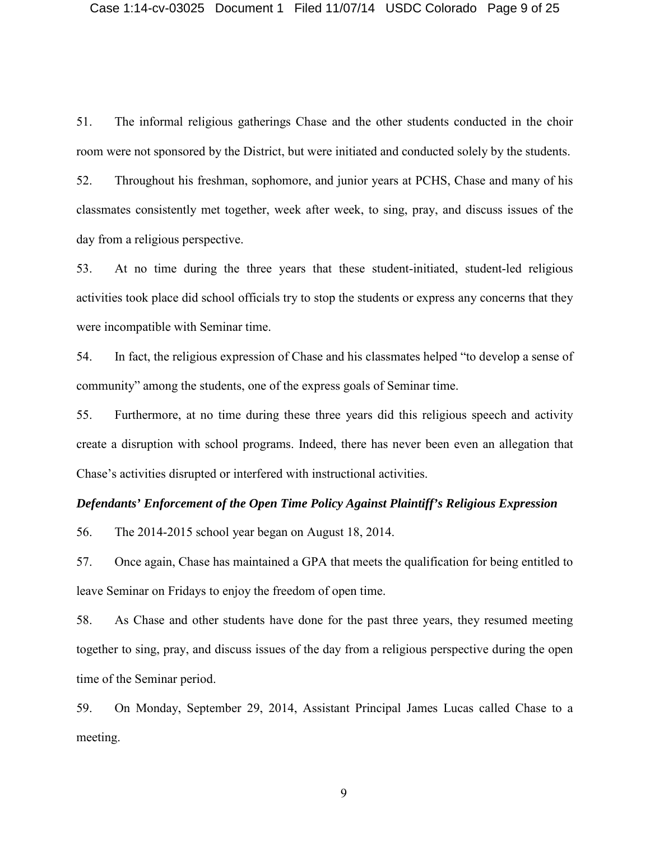51. The informal religious gatherings Chase and the other students conducted in the choir room were not sponsored by the District, but were initiated and conducted solely by the students.

52. Throughout his freshman, sophomore, and junior years at PCHS, Chase and many of his classmates consistently met together, week after week, to sing, pray, and discuss issues of the day from a religious perspective.

53. At no time during the three years that these student-initiated, student-led religious activities took place did school officials try to stop the students or express any concerns that they were incompatible with Seminar time.

54. In fact, the religious expression of Chase and his classmates helped "to develop a sense of community" among the students, one of the express goals of Seminar time.

55. Furthermore, at no time during these three years did this religious speech and activity create a disruption with school programs. Indeed, there has never been even an allegation that Chase's activities disrupted or interfered with instructional activities.

### *Defendants' Enforcement of the Open Time Policy Against Plaintiff's Religious Expression*

56. The 2014-2015 school year began on August 18, 2014.

57. Once again, Chase has maintained a GPA that meets the qualification for being entitled to leave Seminar on Fridays to enjoy the freedom of open time.

58. As Chase and other students have done for the past three years, they resumed meeting together to sing, pray, and discuss issues of the day from a religious perspective during the open time of the Seminar period.

59. On Monday, September 29, 2014, Assistant Principal James Lucas called Chase to a meeting.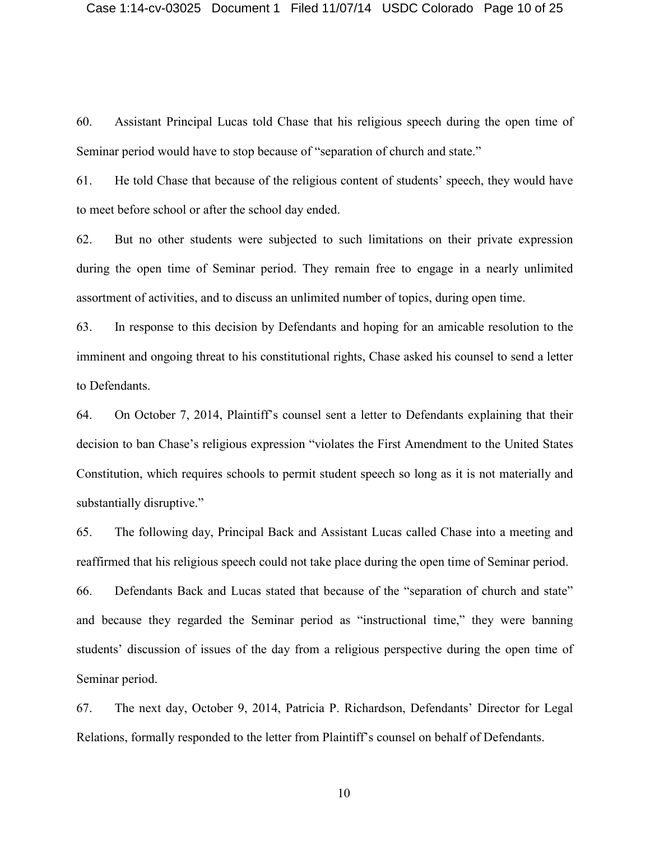60. Assistant Principal Lucas told Chase that his religious speech during the open time of Seminar period would have to stop because of "separation of church and state."

61. He told Chase that because of the religious content of students' speech, they would have to meet before school or after the school day ended.

62. But no other students were subjected to such limitations on their private expression during the open time of Seminar period. They remain free to engage in a nearly unlimited assortment of activities, and to discuss an unlimited number of topics, during open time.

63. In response to this decision by Defendants and hoping for an amicable resolution to the imminent and ongoing threat to his constitutional rights, Chase asked his counsel to send a letter to Defendants.

64. On October 7, 2014, Plaintiff's counsel sent a letter to Defendants explaining that their decision to ban Chase's religious expression "violates the First Amendment to the United States Constitution, which requires schools to permit student speech so long as it is not materially and substantially disruptive."

65. The following day, Principal Back and Assistant Lucas called Chase into a meeting and reaffirmed that his religious speech could not take place during the open time of Seminar period.

66. Defendants Back and Lucas stated that because of the "separation of church and state" and because they regarded the Seminar period as "instructional time," they were banning students' discussion of issues of the day from a religious perspective during the open time of Seminar period.

67. The next day, October 9, 2014, Patricia P. Richardson, Defendants' Director for Legal Relations, formally responded to the letter from Plaintiff's counsel on behalf of Defendants.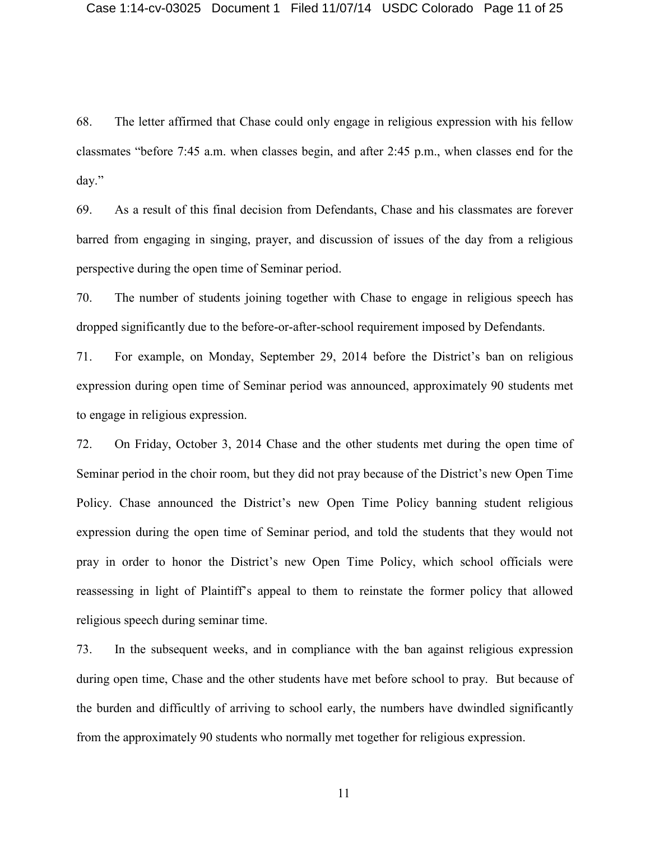68. The letter affirmed that Chase could only engage in religious expression with his fellow classmates "before 7:45 a.m. when classes begin, and after 2:45 p.m., when classes end for the day."

69. As a result of this final decision from Defendants, Chase and his classmates are forever barred from engaging in singing, prayer, and discussion of issues of the day from a religious perspective during the open time of Seminar period.

70. The number of students joining together with Chase to engage in religious speech has dropped significantly due to the before-or-after-school requirement imposed by Defendants.

71. For example, on Monday, September 29, 2014 before the District's ban on religious expression during open time of Seminar period was announced, approximately 90 students met to engage in religious expression.

72. On Friday, October 3, 2014 Chase and the other students met during the open time of Seminar period in the choir room, but they did not pray because of the District's new Open Time Policy. Chase announced the District's new Open Time Policy banning student religious expression during the open time of Seminar period, and told the students that they would not pray in order to honor the District's new Open Time Policy, which school officials were reassessing in light of Plaintiff's appeal to them to reinstate the former policy that allowed religious speech during seminar time.

73. In the subsequent weeks, and in compliance with the ban against religious expression during open time, Chase and the other students have met before school to pray. But because of the burden and difficultly of arriving to school early, the numbers have dwindled significantly from the approximately 90 students who normally met together for religious expression.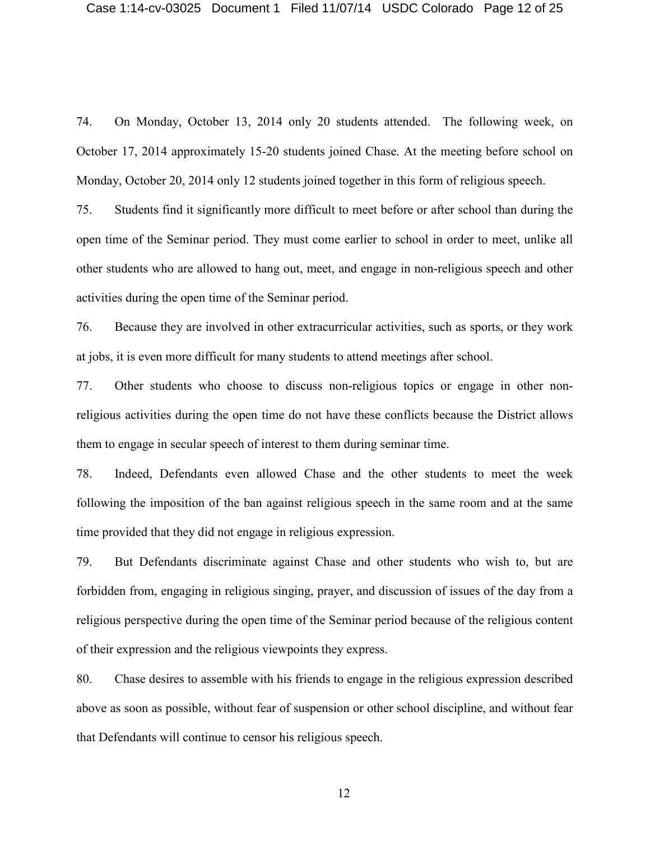74. On Monday, October 13, 2014 only 20 students attended. The following week, on October 17, 2014 approximately 15-20 students joined Chase. At the meeting before school on Monday, October 20, 2014 only 12 students joined together in this form of religious speech.

75. Students find it significantly more difficult to meet before or after school than during the open time of the Seminar period. They must come earlier to school in order to meet, unlike all other students who are allowed to hang out, meet, and engage in non-religious speech and other activities during the open time of the Seminar period.

76. Because they are involved in other extracurricular activities, such as sports, or they work at jobs, it is even more difficult for many students to attend meetings after school.

77. Other students who choose to discuss non-religious topics or engage in other nonreligious activities during the open time do not have these conflicts because the District allows them to engage in secular speech of interest to them during seminar time.

78. Indeed, Defendants even allowed Chase and the other students to meet the week following the imposition of the ban against religious speech in the same room and at the same time provided that they did not engage in religious expression.

79. But Defendants discriminate against Chase and other students who wish to, but are forbidden from, engaging in religious singing, prayer, and discussion of issues of the day from a religious perspective during the open time of the Seminar period because of the religious content of their expression and the religious viewpoints they express.

80. Chase desires to assemble with his friends to engage in the religious expression described above as soon as possible, without fear of suspension or other school discipline, and without fear that Defendants will continue to censor his religious speech.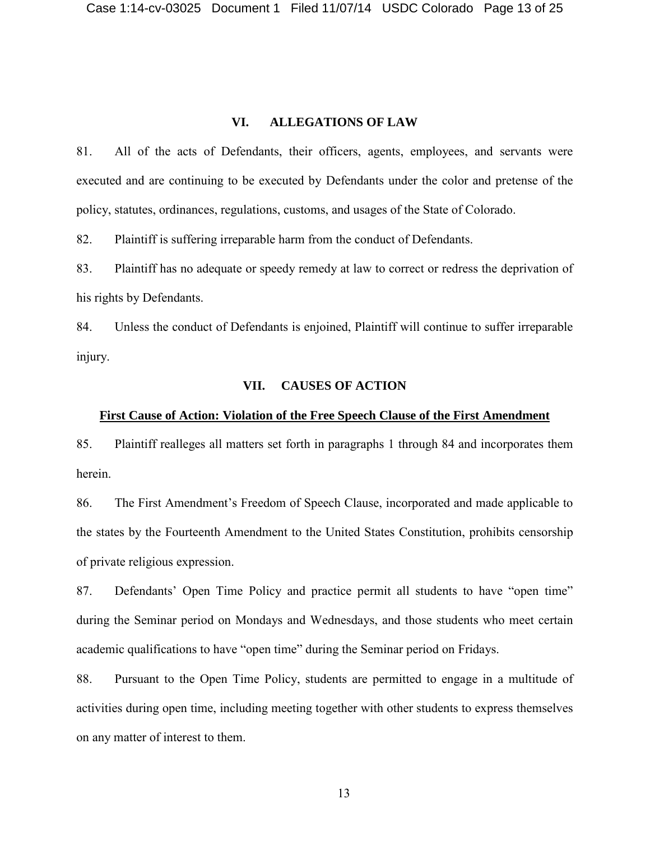#### **VI. ALLEGATIONS OF LAW**

81. All of the acts of Defendants, their officers, agents, employees, and servants were executed and are continuing to be executed by Defendants under the color and pretense of the policy, statutes, ordinances, regulations, customs, and usages of the State of Colorado.

82. Plaintiff is suffering irreparable harm from the conduct of Defendants.

83. Plaintiff has no adequate or speedy remedy at law to correct or redress the deprivation of his rights by Defendants.

84. Unless the conduct of Defendants is enjoined, Plaintiff will continue to suffer irreparable injury.

### **VII. CAUSES OF ACTION**

#### **First Cause of Action: Violation of the Free Speech Clause of the First Amendment**

85. Plaintiff realleges all matters set forth in paragraphs 1 through 84 and incorporates them herein.

86. The First Amendment's Freedom of Speech Clause, incorporated and made applicable to the states by the Fourteenth Amendment to the United States Constitution, prohibits censorship of private religious expression.

87. Defendants' Open Time Policy and practice permit all students to have "open time" during the Seminar period on Mondays and Wednesdays, and those students who meet certain academic qualifications to have "open time" during the Seminar period on Fridays.

88. Pursuant to the Open Time Policy, students are permitted to engage in a multitude of activities during open time, including meeting together with other students to express themselves on any matter of interest to them.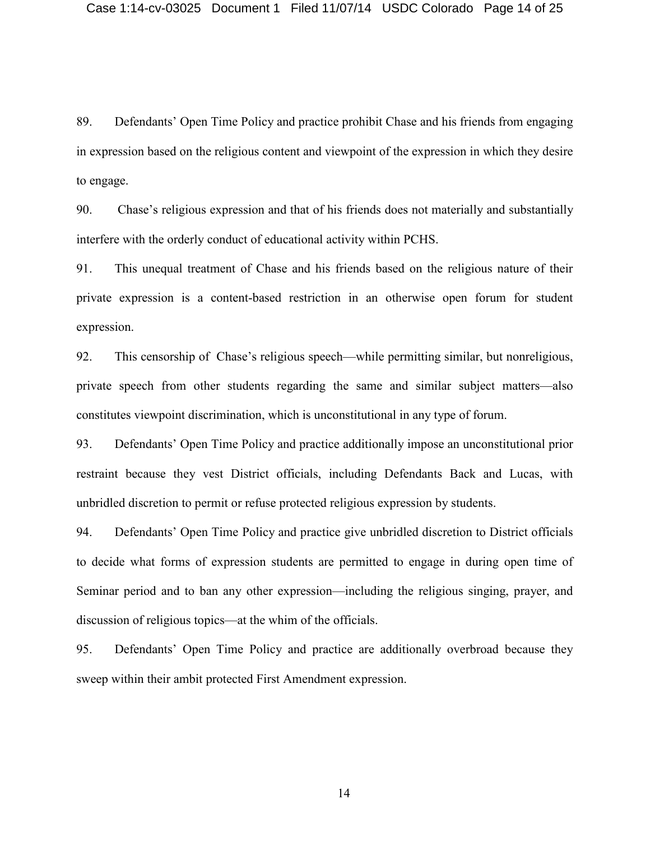89. Defendants' Open Time Policy and practice prohibit Chase and his friends from engaging in expression based on the religious content and viewpoint of the expression in which they desire to engage.

90. Chase's religious expression and that of his friends does not materially and substantially interfere with the orderly conduct of educational activity within PCHS.

91. This unequal treatment of Chase and his friends based on the religious nature of their private expression is a content-based restriction in an otherwise open forum for student expression.

92. This censorship of Chase's religious speech—while permitting similar, but nonreligious, private speech from other students regarding the same and similar subject matters—also constitutes viewpoint discrimination, which is unconstitutional in any type of forum.

93. Defendants' Open Time Policy and practice additionally impose an unconstitutional prior restraint because they vest District officials, including Defendants Back and Lucas, with unbridled discretion to permit or refuse protected religious expression by students.

94. Defendants' Open Time Policy and practice give unbridled discretion to District officials to decide what forms of expression students are permitted to engage in during open time of Seminar period and to ban any other expression—including the religious singing, prayer, and discussion of religious topics—at the whim of the officials.

95. Defendants' Open Time Policy and practice are additionally overbroad because they sweep within their ambit protected First Amendment expression.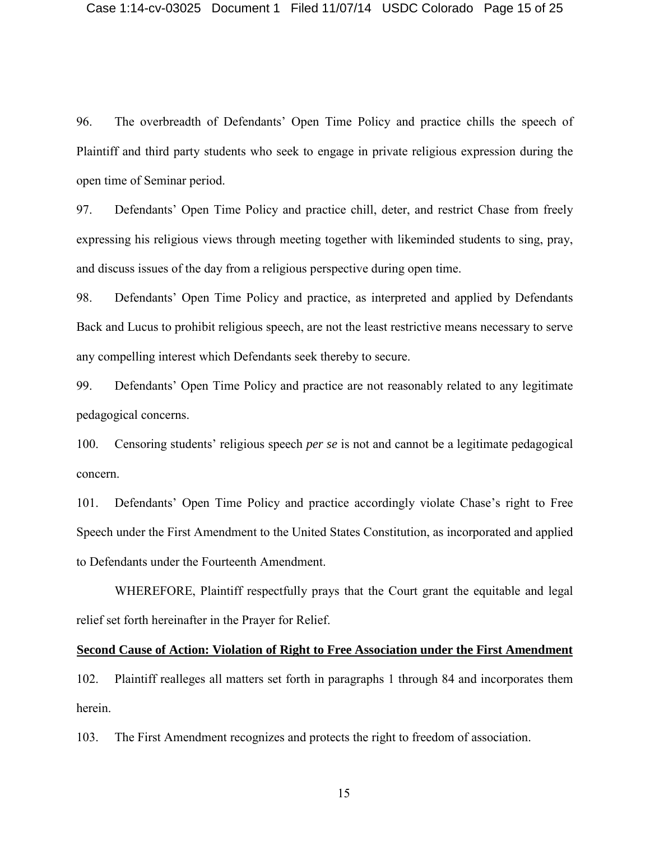96. The overbreadth of Defendants' Open Time Policy and practice chills the speech of Plaintiff and third party students who seek to engage in private religious expression during the open time of Seminar period.

97. Defendants' Open Time Policy and practice chill, deter, and restrict Chase from freely expressing his religious views through meeting together with likeminded students to sing, pray, and discuss issues of the day from a religious perspective during open time.

98. Defendants' Open Time Policy and practice, as interpreted and applied by Defendants Back and Lucus to prohibit religious speech, are not the least restrictive means necessary to serve any compelling interest which Defendants seek thereby to secure.

99. Defendants' Open Time Policy and practice are not reasonably related to any legitimate pedagogical concerns.

100. Censoring students' religious speech *per se* is not and cannot be a legitimate pedagogical concern.

101. Defendants' Open Time Policy and practice accordingly violate Chase's right to Free Speech under the First Amendment to the United States Constitution, as incorporated and applied to Defendants under the Fourteenth Amendment.

WHEREFORE, Plaintiff respectfully prays that the Court grant the equitable and legal relief set forth hereinafter in the Prayer for Relief.

#### **Second Cause of Action: Violation of Right to Free Association under the First Amendment**

102. Plaintiff realleges all matters set forth in paragraphs 1 through 84 and incorporates them herein.

103. The First Amendment recognizes and protects the right to freedom of association.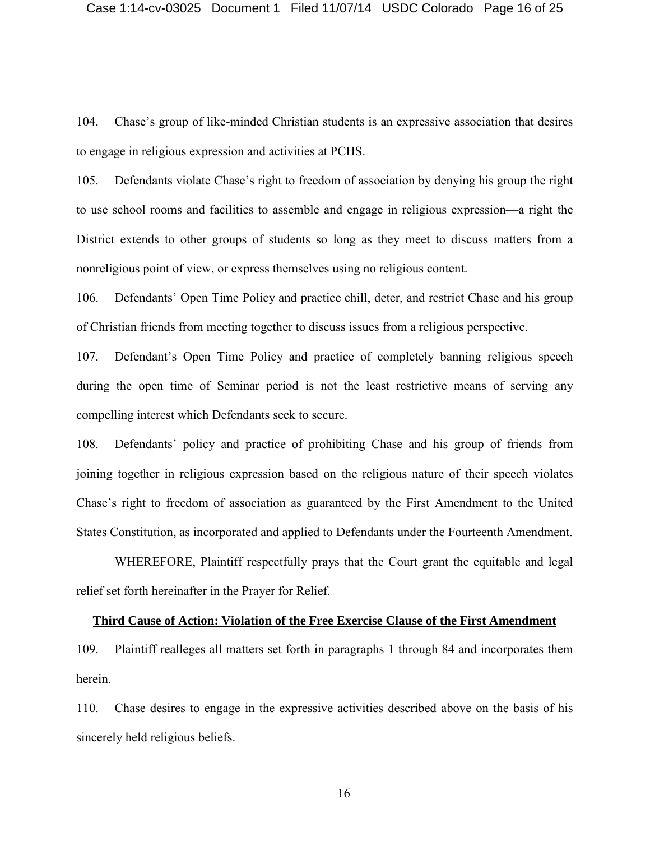104. Chase's group of like-minded Christian students is an expressive association that desires to engage in religious expression and activities at PCHS.

105. Defendants violate Chase's right to freedom of association by denying his group the right to use school rooms and facilities to assemble and engage in religious expression—a right the District extends to other groups of students so long as they meet to discuss matters from a nonreligious point of view, or express themselves using no religious content.

106. Defendants' Open Time Policy and practice chill, deter, and restrict Chase and his group of Christian friends from meeting together to discuss issues from a religious perspective.

107. Defendant's Open Time Policy and practice of completely banning religious speech during the open time of Seminar period is not the least restrictive means of serving any compelling interest which Defendants seek to secure.

108. Defendants' policy and practice of prohibiting Chase and his group of friends from joining together in religious expression based on the religious nature of their speech violates Chase's right to freedom of association as guaranteed by the First Amendment to the United States Constitution, as incorporated and applied to Defendants under the Fourteenth Amendment.

WHEREFORE, Plaintiff respectfully prays that the Court grant the equitable and legal relief set forth hereinafter in the Prayer for Relief.

#### **Third Cause of Action: Violation of the Free Exercise Clause of the First Amendment**

109. Plaintiff realleges all matters set forth in paragraphs 1 through 84 and incorporates them herein.

110. Chase desires to engage in the expressive activities described above on the basis of his sincerely held religious beliefs.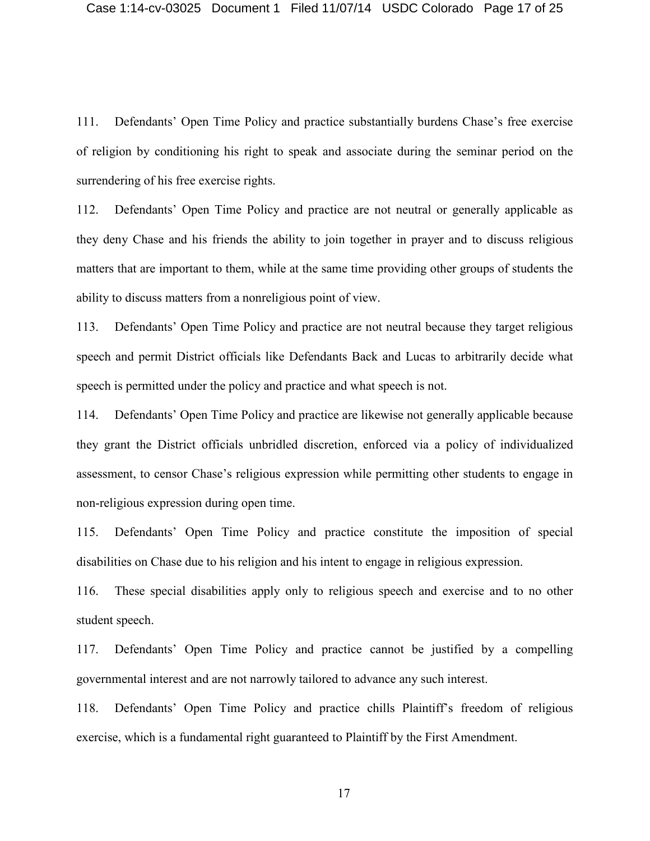111. Defendants' Open Time Policy and practice substantially burdens Chase's free exercise of religion by conditioning his right to speak and associate during the seminar period on the surrendering of his free exercise rights.

112. Defendants' Open Time Policy and practice are not neutral or generally applicable as they deny Chase and his friends the ability to join together in prayer and to discuss religious matters that are important to them, while at the same time providing other groups of students the ability to discuss matters from a nonreligious point of view.

113. Defendants' Open Time Policy and practice are not neutral because they target religious speech and permit District officials like Defendants Back and Lucas to arbitrarily decide what speech is permitted under the policy and practice and what speech is not.

114. Defendants' Open Time Policy and practice are likewise not generally applicable because they grant the District officials unbridled discretion, enforced via a policy of individualized assessment, to censor Chase's religious expression while permitting other students to engage in non-religious expression during open time.

115. Defendants' Open Time Policy and practice constitute the imposition of special disabilities on Chase due to his religion and his intent to engage in religious expression.

116. These special disabilities apply only to religious speech and exercise and to no other student speech.

117. Defendants' Open Time Policy and practice cannot be justified by a compelling governmental interest and are not narrowly tailored to advance any such interest.

118. Defendants' Open Time Policy and practice chills Plaintiff's freedom of religious exercise, which is a fundamental right guaranteed to Plaintiff by the First Amendment.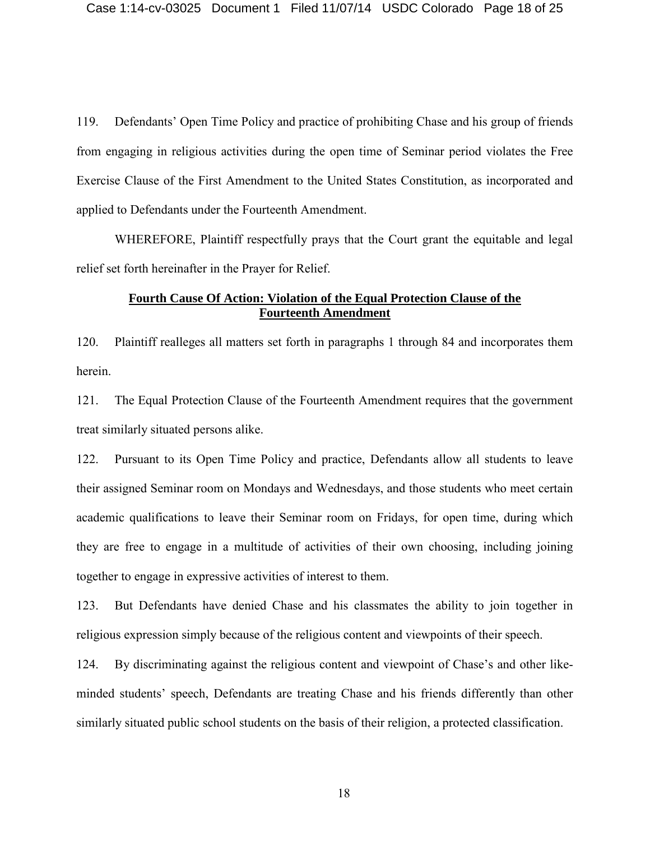119. Defendants' Open Time Policy and practice of prohibiting Chase and his group of friends from engaging in religious activities during the open time of Seminar period violates the Free Exercise Clause of the First Amendment to the United States Constitution, as incorporated and applied to Defendants under the Fourteenth Amendment.

WHEREFORE, Plaintiff respectfully prays that the Court grant the equitable and legal relief set forth hereinafter in the Prayer for Relief.

## **Fourth Cause Of Action: Violation of the Equal Protection Clause of the Fourteenth Amendment**

120. Plaintiff realleges all matters set forth in paragraphs 1 through 84 and incorporates them herein.

121. The Equal Protection Clause of the Fourteenth Amendment requires that the government treat similarly situated persons alike.

122. Pursuant to its Open Time Policy and practice, Defendants allow all students to leave their assigned Seminar room on Mondays and Wednesdays, and those students who meet certain academic qualifications to leave their Seminar room on Fridays, for open time, during which they are free to engage in a multitude of activities of their own choosing, including joining together to engage in expressive activities of interest to them.

123. But Defendants have denied Chase and his classmates the ability to join together in religious expression simply because of the religious content and viewpoints of their speech.

124. By discriminating against the religious content and viewpoint of Chase's and other likeminded students' speech, Defendants are treating Chase and his friends differently than other similarly situated public school students on the basis of their religion, a protected classification.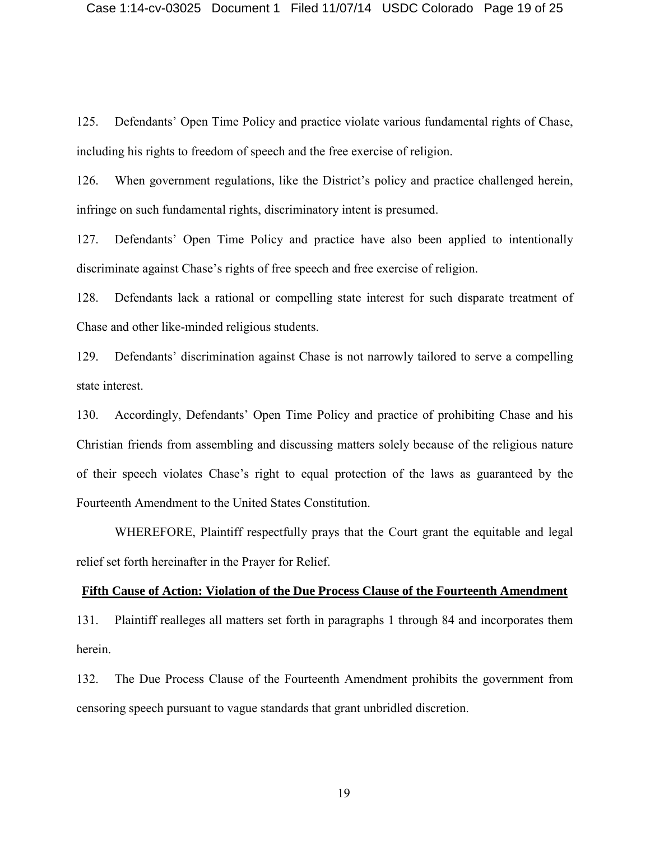125. Defendants' Open Time Policy and practice violate various fundamental rights of Chase, including his rights to freedom of speech and the free exercise of religion.

126. When government regulations, like the District's policy and practice challenged herein, infringe on such fundamental rights, discriminatory intent is presumed.

127. Defendants' Open Time Policy and practice have also been applied to intentionally discriminate against Chase's rights of free speech and free exercise of religion.

128. Defendants lack a rational or compelling state interest for such disparate treatment of Chase and other like-minded religious students.

129. Defendants' discrimination against Chase is not narrowly tailored to serve a compelling state interest.

130. Accordingly, Defendants' Open Time Policy and practice of prohibiting Chase and his Christian friends from assembling and discussing matters solely because of the religious nature of their speech violates Chase's right to equal protection of the laws as guaranteed by the Fourteenth Amendment to the United States Constitution.

WHEREFORE, Plaintiff respectfully prays that the Court grant the equitable and legal relief set forth hereinafter in the Prayer for Relief.

### **Fifth Cause of Action: Violation of the Due Process Clause of the Fourteenth Amendment**

131. Plaintiff realleges all matters set forth in paragraphs 1 through 84 and incorporates them herein.

132. The Due Process Clause of the Fourteenth Amendment prohibits the government from censoring speech pursuant to vague standards that grant unbridled discretion.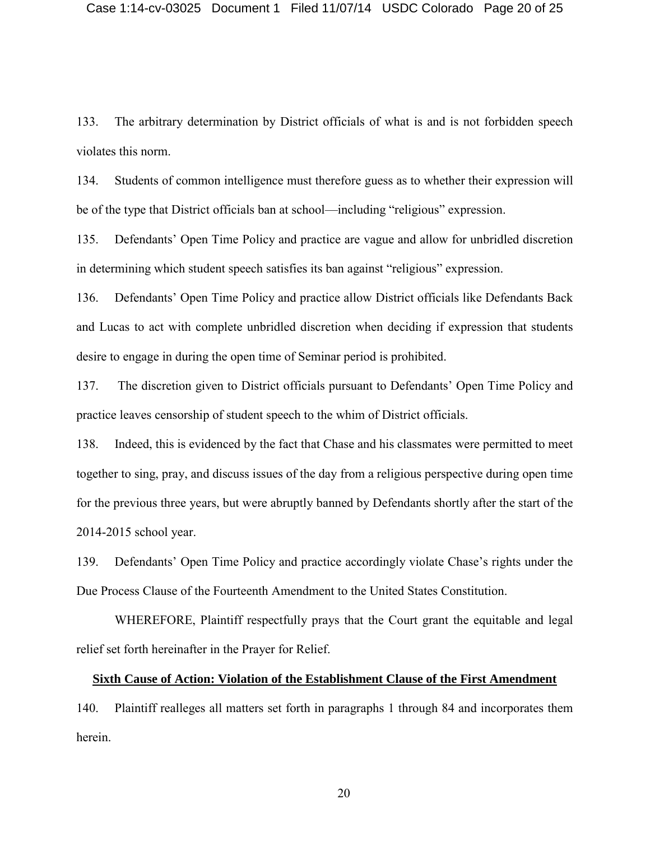133. The arbitrary determination by District officials of what is and is not forbidden speech violates this norm.

134. Students of common intelligence must therefore guess as to whether their expression will be of the type that District officials ban at school—including "religious" expression.

135. Defendants' Open Time Policy and practice are vague and allow for unbridled discretion in determining which student speech satisfies its ban against "religious" expression.

136. Defendants' Open Time Policy and practice allow District officials like Defendants Back and Lucas to act with complete unbridled discretion when deciding if expression that students desire to engage in during the open time of Seminar period is prohibited.

137. The discretion given to District officials pursuant to Defendants' Open Time Policy and practice leaves censorship of student speech to the whim of District officials.

138. Indeed, this is evidenced by the fact that Chase and his classmates were permitted to meet together to sing, pray, and discuss issues of the day from a religious perspective during open time for the previous three years, but were abruptly banned by Defendants shortly after the start of the 2014-2015 school year.

139. Defendants' Open Time Policy and practice accordingly violate Chase's rights under the Due Process Clause of the Fourteenth Amendment to the United States Constitution.

WHEREFORE, Plaintiff respectfully prays that the Court grant the equitable and legal relief set forth hereinafter in the Prayer for Relief.

#### **Sixth Cause of Action: Violation of the Establishment Clause of the First Amendment**

140. Plaintiff realleges all matters set forth in paragraphs 1 through 84 and incorporates them herein.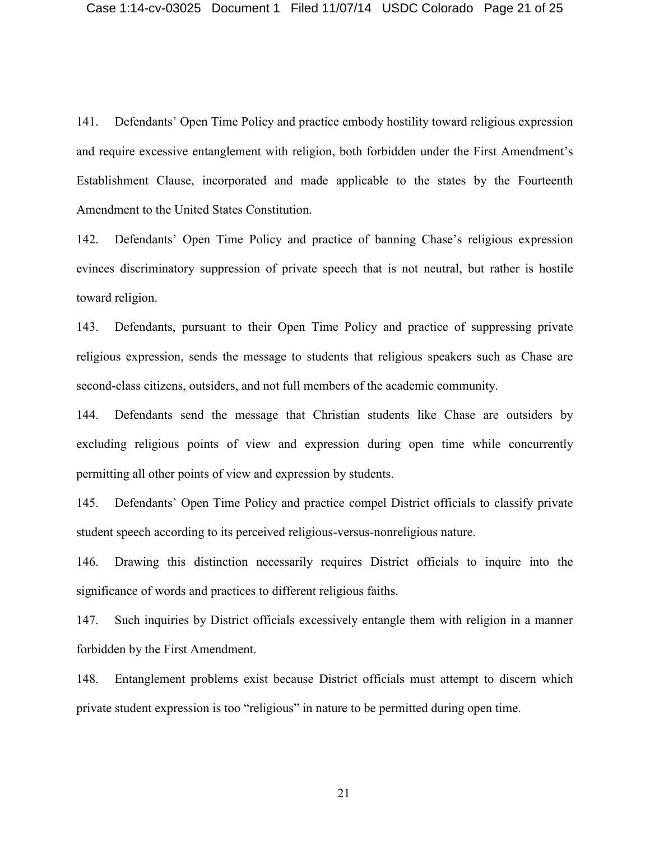141. Defendants' Open Time Policy and practice embody hostility toward religious expression and require excessive entanglement with religion, both forbidden under the First Amendment's Establishment Clause, incorporated and made applicable to the states by the Fourteenth Amendment to the United States Constitution.

142. Defendants' Open Time Policy and practice of banning Chase's religious expression evinces discriminatory suppression of private speech that is not neutral, but rather is hostile toward religion.

143. Defendants, pursuant to their Open Time Policy and practice of suppressing private religious expression, sends the message to students that religious speakers such as Chase are second-class citizens, outsiders, and not full members of the academic community.

144. Defendants send the message that Christian students like Chase are outsiders by excluding religious points of view and expression during open time while concurrently permitting all other points of view and expression by students.

145. Defendants' Open Time Policy and practice compel District officials to classify private student speech according to its perceived religious-versus-nonreligious nature.

146. Drawing this distinction necessarily requires District officials to inquire into the significance of words and practices to different religious faiths.

147. Such inquiries by District officials excessively entangle them with religion in a manner forbidden by the First Amendment.

148. Entanglement problems exist because District officials must attempt to discern which private student expression is too "religious" in nature to be permitted during open time.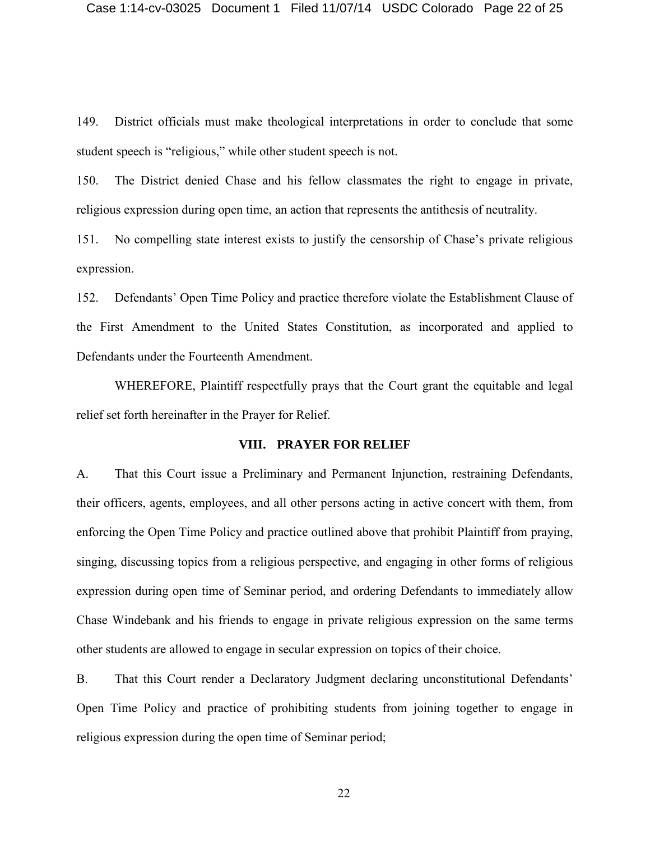149. District officials must make theological interpretations in order to conclude that some student speech is "religious," while other student speech is not.

150. The District denied Chase and his fellow classmates the right to engage in private, religious expression during open time, an action that represents the antithesis of neutrality.

151. No compelling state interest exists to justify the censorship of Chase's private religious expression.

152. Defendants' Open Time Policy and practice therefore violate the Establishment Clause of the First Amendment to the United States Constitution, as incorporated and applied to Defendants under the Fourteenth Amendment.

WHEREFORE, Plaintiff respectfully prays that the Court grant the equitable and legal relief set forth hereinafter in the Prayer for Relief.

### **VIII. PRAYER FOR RELIEF**

A. That this Court issue a Preliminary and Permanent Injunction, restraining Defendants, their officers, agents, employees, and all other persons acting in active concert with them, from enforcing the Open Time Policy and practice outlined above that prohibit Plaintiff from praying, singing, discussing topics from a religious perspective, and engaging in other forms of religious expression during open time of Seminar period, and ordering Defendants to immediately allow Chase Windebank and his friends to engage in private religious expression on the same terms other students are allowed to engage in secular expression on topics of their choice.

B. That this Court render a Declaratory Judgment declaring unconstitutional Defendants' Open Time Policy and practice of prohibiting students from joining together to engage in religious expression during the open time of Seminar period;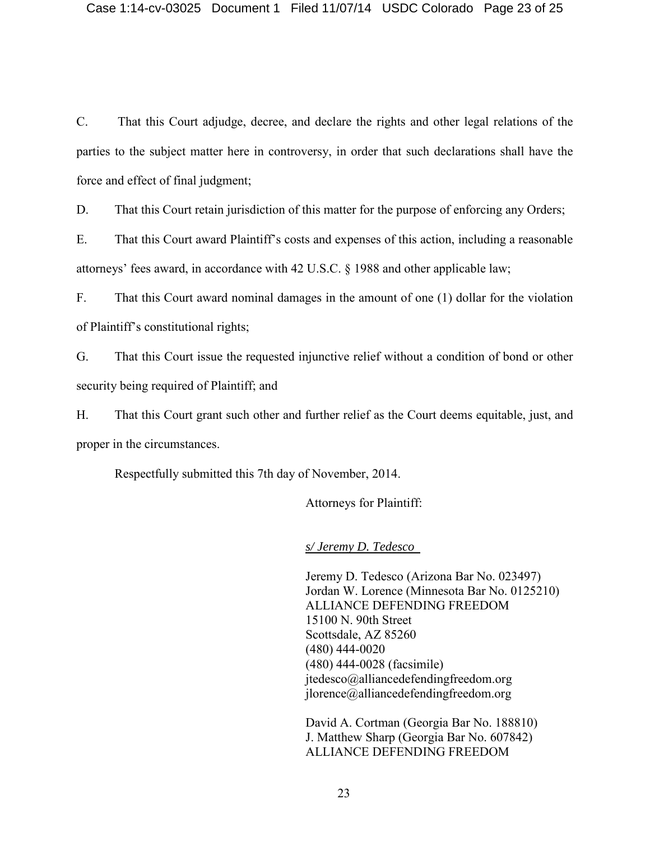C. That this Court adjudge, decree, and declare the rights and other legal relations of the parties to the subject matter here in controversy, in order that such declarations shall have the force and effect of final judgment;

D. That this Court retain jurisdiction of this matter for the purpose of enforcing any Orders;

E. That this Court award Plaintiff's costs and expenses of this action, including a reasonable attorneys' fees award, in accordance with 42 U.S.C. § 1988 and other applicable law;

F. That this Court award nominal damages in the amount of one (1) dollar for the violation of Plaintiff's constitutional rights;

G. That this Court issue the requested injunctive relief without a condition of bond or other security being required of Plaintiff; and

H. That this Court grant such other and further relief as the Court deems equitable, just, and proper in the circumstances.

Respectfully submitted this 7th day of November, 2014.

Attorneys for Plaintiff:

*s/ Jeremy D. Tedesco*

Jeremy D. Tedesco (Arizona Bar No. 023497) Jordan W. Lorence (Minnesota Bar No. 0125210) ALLIANCE DEFENDING FREEDOM 15100 N. 90th Street Scottsdale, AZ 85260 (480) 444-0020 (480) 444-0028 (facsimile) jtedesco@alliancedefendingfreedom.org jlorence@alliancedefendingfreedom.org

David A. Cortman (Georgia Bar No. 188810) J. Matthew Sharp (Georgia Bar No. 607842) ALLIANCE DEFENDING FREEDOM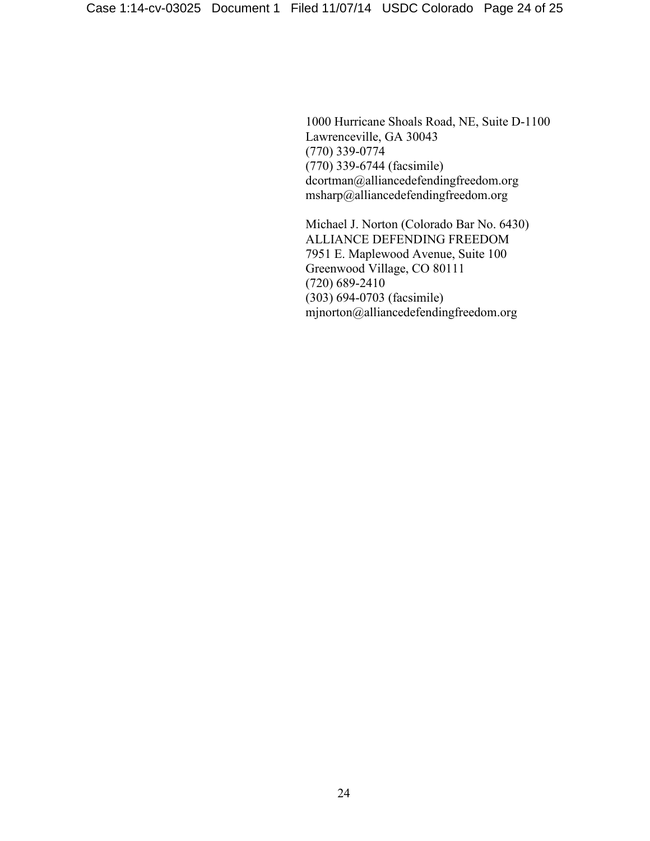1000 Hurricane Shoals Road, NE, Suite D-1100 Lawrenceville, GA 30043 (770) 339-0774 (770) 339-6744 (facsimile) dcortman@alliancedefendingfreedom.org msharp@alliancedefendingfreedom.org

Michael J. Norton (Colorado Bar No. 6430) ALLIANCE DEFENDING FREEDOM 7951 E. Maplewood Avenue, Suite 100 Greenwood Village, CO 80111 (720) 689-2410 (303) 694-0703 (facsimile) mjnorton@alliancedefendingfreedom.org